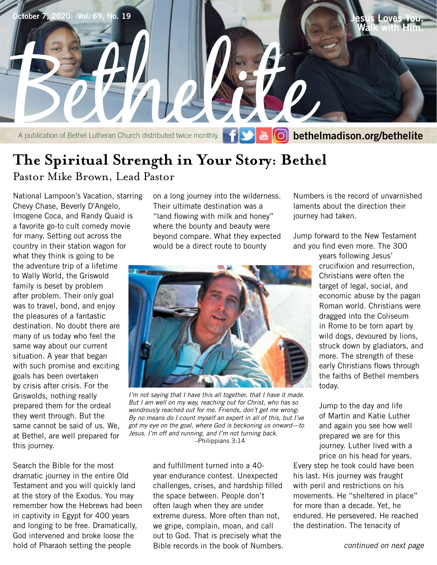

## **The Spiritual Strength in Your Story: Bethel** Pastor Mike Brown, Lead Pastor

National Lampoon's Vacation, starring Chevy Chase, Beverly D'Angelo, Imogene Coca, and Randy Quaid is a favorite go-to cult comedy movie for many. Setting out across the country in their station wagon for what they think is going to be the adventure trip of a lifetime to Wally World, the Griswold family is beset by problem after problem. Their only goal was to travel, bond, and enjoy the pleasures of a fantastic destination. No doubt there are many of us today who feel the same way about our current situation. A year that began with such promise and exciting goals has been overtaken by crisis after crisis. For the Griswolds, nothing really prepared them for the ordeal they went through. But the same cannot be said of us. We, at Bethel, are well prepared for this journey.

Search the Bible for the most dramatic journey in the entire Old Testament and you will quickly land at the story of the Exodus. You may remember how the Hebrews had been in captivity in Egypt for 400 years and longing to be free. Dramatically, God intervened and broke loose the hold of Pharaoh setting the people

on a long journey into the wilderness. Their ultimate destination was a "land flowing with milk and honey" where the bounty and beauty were beyond compare. What they expected would be a direct route to bounty

Numbers is the record of unvarnished laments about the direction their journey had taken.

Jump forward to the New Testament and you find even more. The 300

> years following Jesus' crucifixion and resurrection, Christians were often the target of legal, social, and economic abuse by the pagan Roman world. Christians were dragged into the Coliseum in Rome to be torn apart by wild dogs, devoured by lions, struck down by gladiators, and more. The strength of these early Christians flows through the faiths of Bethel members today.

Jump to the day and life of Martin and Katie Luther and again you see how well prepared we are for this journey. Luther lived with a price on his head for years.

Every step he took could have been his last. His journey was fraught with peril and restrictions on his movements. He "sheltered in place" for more than a decade. Yet, he endured. He persevered. He reached the destination. The tenacity of

*I'm not saying that I have this all together, that I have it made. But I am well on my way, reaching out for Christ, who has so wondrously reached out for me. Friends, don't get me wrong: By no means do I count myself an expert in all of this, but I've got my eye on the goal, where God is beckoning us onward—to Jesus. I'm off and running, and I'm not turning back.* 

–Philippians 3:14

and fulfillment turned into a 40 year endurance contest. Unexpected challenges, crises, and hardship filled the space between. People don't often laugh when they are under extreme duress. More often than not, we gripe, complain, moan, and call out to God. That is precisely what the Bible records in the book of Numbers.

*continued on next page*

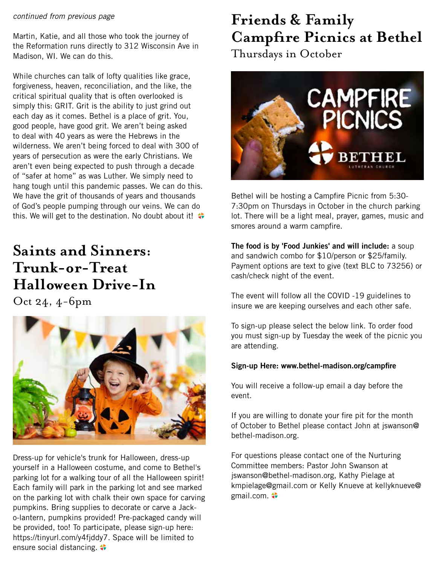### *continued from previous page*

Martin, Katie, and all those who took the journey of the Reformation runs directly to 312 Wisconsin Ave in Madison, WI. We can do this.

While churches can talk of lofty qualities like grace, forgiveness, heaven, reconciliation, and the like, the critical spiritual quality that is often overlooked is simply this: GRIT. Grit is the ability to just grind out each day as it comes. Bethel is a place of grit. You, good people, have good grit. We aren't being asked to deal with 40 years as were the Hebrews in the wilderness. We aren't being forced to deal with 300 of years of persecution as were the early Christians. We aren't even being expected to push through a decade of "safer at home" as was Luther. We simply need to hang tough until this pandemic passes. We can do this. We have the grit of thousands of years and thousands of God's people pumping through our veins. We can do this. We will get to the destination. No doubt about it!

## **Saints and Sinners: Trunk-or-Treat Halloween Drive-In**

Oct 24, 4-6pm



Dress-up for vehicle's trunk for Halloween, dress-up yourself in a Halloween costume, and come to Bethel's parking lot for a walking tour of all the Halloween spirit! Each family will park in the parking lot and see marked on the parking lot with chalk their own space for carving pumpkins. Bring supplies to decorate or carve a Jacko-lantern, pumpkins provided! Pre-packaged candy will be provided, too! To participate, please sign-up here: https://tinyurl.com/y4fjddy7. Space will be limited to ensure social distancing.  $\clubsuit$ 

# **Friends & Family Campfire Picnics at Bethel**

Thursdays in October



Bethel will be hosting a Campfire Picnic from 5:30- 7:30pm on Thursdays in October in the church parking lot. There will be a light meal, prayer, games, music and smores around a warm campfire.

**The food is by 'Food Junkies' and will include:** a soup and sandwich combo for \$10/person or \$25/family. Payment options are text to give (text BLC to 73256) or cash/check night of the event.

The event will follow all the COVID -19 guidelines to insure we are keeping ourselves and each other safe.

To sign-up please select the below link. To order food you must sign-up by Tuesday the week of the picnic you are attending.

### **Sign-up Here: www.bethel-madison.org/campfire**

You will receive a follow-up email a day before the event.

If you are willing to donate your fire pit for the month of October to Bethel please contact John at jswanson@ bethel-madison.org.

For questions please contact one of the Nurturing Committee members: Pastor John Swanson at jswanson@bethel-madison.org, Kathy Pielage at kmpielage@gmail.com or Kelly Knueve at kellyknueve@ gmail.com.  $\clubsuit$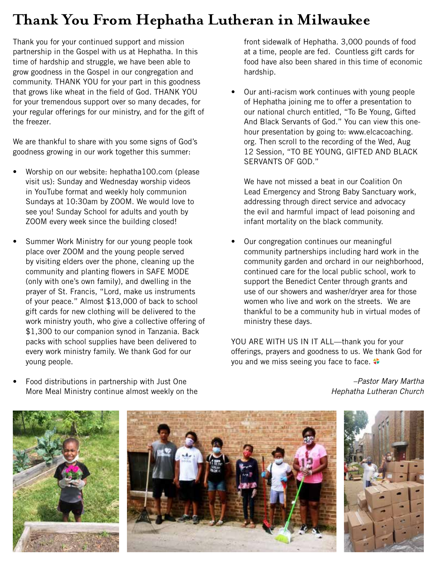## **Thank You From Hephatha Lutheran in Milwaukee**

Thank you for your continued support and mission partnership in the Gospel with us at Hephatha. In this time of hardship and struggle, we have been able to grow goodness in the Gospel in our congregation and community. THANK YOU for your part in this goodness that grows like wheat in the field of God. THANK YOU for your tremendous support over so many decades, for your regular offerings for our ministry, and for the gift of the freezer.

We are thankful to share with you some signs of God's goodness growing in our work together this summer:

- Worship on our website: hephatha100.com (please) visit us): Sunday and Wednesday worship videos in YouTube format and weekly holy communion Sundays at 10:30am by ZOOM. We would love to see you! Sunday School for adults and youth by ZOOM every week since the building closed!
- Summer Work Ministry for our young people took place over ZOOM and the young people served by visiting elders over the phone, cleaning up the community and planting flowers in SAFE MODE (only with one's own family), and dwelling in the prayer of St. Francis, "Lord, make us instruments of your peace." Almost \$13,000 of back to school gift cards for new clothing will be delivered to the work ministry youth, who give a collective offering of \$1,300 to our companion synod in Tanzania. Back packs with school supplies have been delivered to every work ministry family. We thank God for our young people.
- Food distributions in partnership with Just One More Meal Ministry continue almost weekly on the

front sidewalk of Hephatha. 3,000 pounds of food at a time, people are fed. Countless gift cards for food have also been shared in this time of economic hardship.

• Our anti-racism work continues with young people of Hephatha joining me to offer a presentation to our national church entitled, "To Be Young, Gifted And Black Servants of God." You can view this onehour presentation by going to: www.elcacoaching. org. Then scroll to the recording of the Wed, Aug 12 Session, "TO BE YOUNG, GIFTED AND BLACK SERVANTS OF GOD."

We have not missed a beat in our Coalition On Lead Emergency and Strong Baby Sanctuary work, addressing through direct service and advocacy the evil and harmful impact of lead poisoning and infant mortality on the black community.

• Our congregation continues our meaningful community partnerships including hard work in the community garden and orchard in our neighborhood, continued care for the local public school, work to support the Benedict Center through grants and use of our showers and washer/dryer area for those women who live and work on the streets. We are thankful to be a community hub in virtual modes of ministry these days.

YOU ARE WITH US IN IT ALL-thank you for your offerings, prayers and goodness to us. We thank God for you and we miss seeing you face to face.







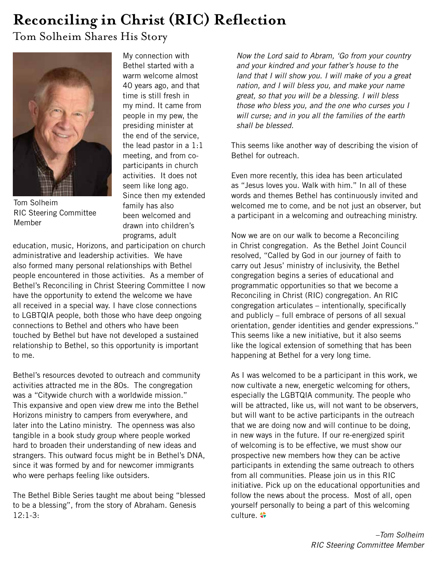# **Reconciling in Christ (RIC) Reflection**

Tom Solheim Shares His Story



Tom Solheim RIC Steering Committee Member

My connection with Bethel started with a warm welcome almost 40 years ago, and that time is still fresh in my mind. It came from people in my pew, the presiding minister at the end of the service, the lead pastor in a 1:1 meeting, and from coparticipants in church activities. It does not seem like long ago. Since then my extended family has also been welcomed and drawn into children's programs, adult

education, music, Horizons, and participation on church administrative and leadership activities. We have also formed many personal relationships with Bethel people encountered in those activities. As a member of Bethel's Reconciling in Christ Steering Committee I now have the opportunity to extend the welcome we have all received in a special way. I have close connections to LGBTQIA people, both those who have deep ongoing connections to Bethel and others who have been touched by Bethel but have not developed a sustained relationship to Bethel, so this opportunity is important to me.

Bethel's resources devoted to outreach and community activities attracted me in the 80s. The congregation was a "Citywide church with a worldwide mission." This expansive and open view drew me into the Bethel Horizons ministry to campers from everywhere, and later into the Latino ministry. The openness was also tangible in a book study group where people worked hard to broaden their understanding of new ideas and strangers. This outward focus might be in Bethel's DNA, since it was formed by and for newcomer immigrants who were perhaps feeling like outsiders.

The Bethel Bible Series taught me about being "blessed to be a blessing", from the story of Abraham. Genesis 12:1-3:

*Now the Lord said to Abram, 'Go from your country and your kindred and your father's house to the land that I will show you. I will make of you a great nation, and I will bless you, and make your name great, so that you will be a blessing. I will bless those who bless you, and the one who curses you I will curse; and in you all the families of the earth shall be blessed.*

This seems like another way of describing the vision of Bethel for outreach.

Even more recently, this idea has been articulated as "Jesus loves you. Walk with him." In all of these words and themes Bethel has continuously invited and welcomed me to come, and be not just an observer, but a participant in a welcoming and outreaching ministry.

Now we are on our walk to become a Reconciling in Christ congregation. As the Bethel Joint Council resolved, "Called by God in our journey of faith to carry out Jesus' ministry of inclusivity, the Bethel congregation begins a series of educational and programmatic opportunities so that we become a Reconciling in Christ (RIC) congregation. An RIC congregation articulates – intentionally, specifically and publicly – full embrace of persons of all sexual orientation, gender identities and gender expressions." This seems like a new initiative, but it also seems like the logical extension of something that has been happening at Bethel for a very long time.

As I was welcomed to be a participant in this work, we now cultivate a new, energetic welcoming for others, especially the LGBTQIA community. The people who will be attracted, like us, will not want to be observers, but will want to be active participants in the outreach that we are doing now and will continue to be doing, in new ways in the future. If our re-energized spirit of welcoming is to be effective, we must show our prospective new members how they can be active participants in extending the same outreach to others from all communities. Please join us in this RIC initiative. Pick up on the educational opportunities and follow the news about the process. Most of all, open yourself personally to being a part of this welcoming culture.  $\clubsuit$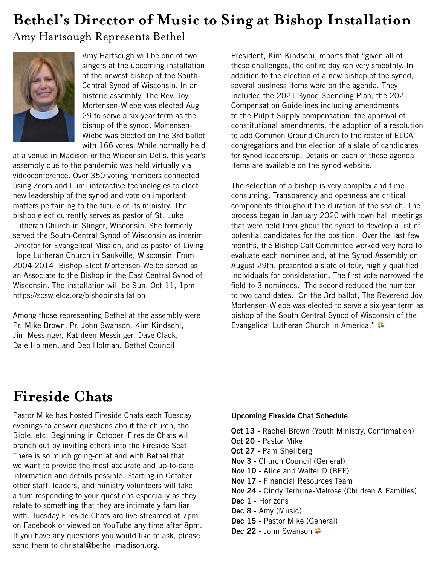# **Bethel's Director of Music to Sing at Bishop Installation**

### Amy Hartsough Represents Bethel



Amy Hartsough will be one of two singers at the upcoming installation of the newest bishop of the South-Central Synod of Wisconsin. In an historic assembly, The Rev. Joy Mortensen-Wiebe was elected Aug 29 to serve a six-year term as the bishop of the synod. Mortensen-Wiebe was elected on the 3rd ballot with 166 votes. While normally held

at a venue in Madison or the Wisconsin Dells, this year's assembly due to the pandemic was held virtually via videoconference. Over 350 voting members connected using Zoom and Lumi interactive technologies to elect new leadership of the synod and vote on important matters pertaining to the future of its ministry. The bishop elect currently serves as pastor of St. Luke Lutheran Church in Slinger, Wisconsin. She formerly served the South-Central Synod of Wisconsin as interim Director for Evangelical Mission, and as pastor of Living Hope Lutheran Church in Saukville, Wisconsin. From 2004-2014, Bishop-Elect Mortensen-Weibe served as an Associate to the Bishop in the East Central Synod of Wisconsin. The installation will be Sun, Oct 11, 1pm https://scsw-elca.org/bishopinstallation

Among those representing Bethel at the assembly were Pr. Mike Brown, Pr. John Swanson, Kim Kindschi, Jim Messinger, Kathleen Messinger, Dave Clack, Dale Holmen, and Deb Holman. Bethel Council

President, Kim Kindschi, reports that "given all of these challenges, the entire day ran very smoothly. In addition to the election of a new bishop of the synod, several business items were on the agenda. They included the 2021 Synod Spending Plan, the 2021 Compensation Guidelines including amendments to the Pulpit Supply compensation, the approval of constitutional amendments, the adoption of a resolution to add Common Ground Church to the roster of ELCA congregations and the election of a slate of candidates for synod leadership. Details on each of these agenda items are available on the synod website.

The selection of a bishop is very complex and time consuming. Transparency and openness are critical components throughout the duration of the search. The process began in January 2020 with town hall meetings that were held throughout the synod to develop a list of potential candidates for the position. Over the last few months, the Bishop Call Committee worked very hard to evaluate each nominee and, at the Synod Assembly on August 29th, presented a slate of four, highly qualified individuals for consideration. The first vote narrowed the field to 3 nominees. The second reduced the number to two candidates. On the 3rd ballot, The Reverend Joy Mortensen-Wiebe was elected to serve a six-year term as bishop of the South-Central Synod of Wisconsin of the Evangelical Lutheran Church in America."

## **Fireside Chats**

Pastor Mike has hosted Fireside Chats each Tuesday evenings to answer questions about the church, the Bible, etc. Beginning in October, Fireside Chats will branch out by inviting others into the Fireside Seat. There is so much going-on at and with Bethel that we want to provide the most accurate and up-to-date information and details possible. Starting in October, other staff, leaders, and ministry volunteers will take a turn responding to your questions especially as they relate to something that they are intimately familiar with. Tuesday Fireside Chats are live-streamed at 7pm on Facebook or viewed on YouTube any time after 8pm. If you have any questions you would like to ask, please send them to christal@bethel-madison.org.

### **Upcoming Fireside Chat Schedule**

- **Oct 13** Rachel Brown (Youth Ministry, Confirmation) **Oct 20** - Pastor Mike **Oct 27** - Pam Shellberg **Nov 3** - Church Council (General) **Nov 10** - Alice and Walter D (BEF) **Nov 17** - Financial Resources Team **Nov 24** - Cindy Terhune-Melrose (Children & Families) **Dec 1** - Horizons **Dec 8** - Amy (Music) **Dec 15** - Pastor Mike (General)
- Dec 22 John Swanson  $\clubsuit$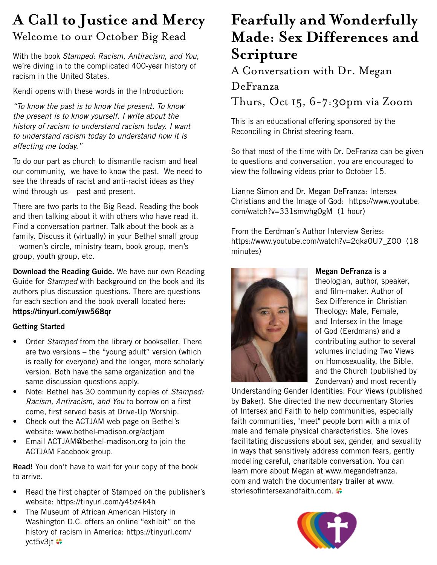## **A Call to Justice and Mercy** Welcome to our October Big Read

With the book *Stamped: Racism, Antiracism, and You*, we're diving in to the complicated 400-year history of racism in the United States.

Kendi opens with these words in the Introduction:

*"To know the past is to know the present. To know the present is to know yourself. I write about the history of racism to understand racism today. I want to understand racism today to understand how it is affecting me today."*

To do our part as church to dismantle racism and heal our community, we have to know the past. We need to see the threads of racist and anti-racist ideas as they wind through us – past and present.

There are two parts to the Big Read. Reading the book and then talking about it with others who have read it. Find a conversation partner. Talk about the book as a family. Discuss it (virtually) in your Bethel small group – women's circle, ministry team, book group, men's group, youth group, etc.

**Download the Reading Guide.** We have our own Reading Guide for *Stamped* with background on the book and its authors plus discussion questions. There are questions for each section and the book overall located here: **https://tinyurl.com/yxw568qr**

### **Getting Started**

- Order *Stamped* from the library or bookseller. There are two versions – the "young adult" version (which is really for everyone) and the longer, more scholarly version. Both have the same organization and the same discussion questions apply.
- Note: Bethel has 30 community copies of *Stamped: Racism, Antiracism, and You* to borrow on a first come, first served basis at Drive-Up Worship.
- Check out the ACTJAM web page on Bethel's website: www.bethel-madison.org/actjam
- Email ACTJAM@bethel-madison.org to join the ACTJAM Facebook group.

**Read!** You don't have to wait for your copy of the book to arrive.

- Read the first chapter of Stamped on the publisher's website: https://tinyurl.com/y45z4k4h
- The Museum of African American History in Washington D.C. offers an online "exhibit" on the history of racism in America: https://tinyurl.com/ yct5v3jt  $\bullet$

## **Fearfully and Wonderfully Made: Sex Differences and Scripture**

A Conversation with Dr. Megan

### DeFranza

Thurs, Oct 15, 6-7:30pm via Zoom

This is an educational offering sponsored by the Reconciling in Christ steering team.

So that most of the time with Dr. DeFranza can be given to questions and conversation, you are encouraged to view the following videos prior to October 15.

Lianne Simon and Dr. Megan DeFranza: Intersex Christians and the Image of God: https://www.youtube. com/watch?v=331smwhg0gM (1 hour)

From the Eerdman's Author Interview Series: https://www.youtube.com/watch?v=2qka0U7\_ZO0 (18 minutes)



**Megan DeFranza** is a theologian, author, speaker, and film-maker. Author of Sex Difference in Christian Theology: Male, Female, and Intersex in the Image of God (Eerdmans) and a contributing author to several volumes including Two Views on Homosexuality, the Bible, and the Church (published by Zondervan) and most recently

Understanding Gender Identities: Four Views (published by Baker). She directed the new documentary Stories of Intersex and Faith to help communities, especially faith communities, "meet" people born with a mix of male and female physical characteristics. She loves facilitating discussions about sex, gender, and sexuality in ways that sensitively address common fears, gently modeling careful, charitable conversation. You can learn more about Megan at www.megandefranza. com and watch the documentary trailer at www. storiesofintersexandfaith.com.

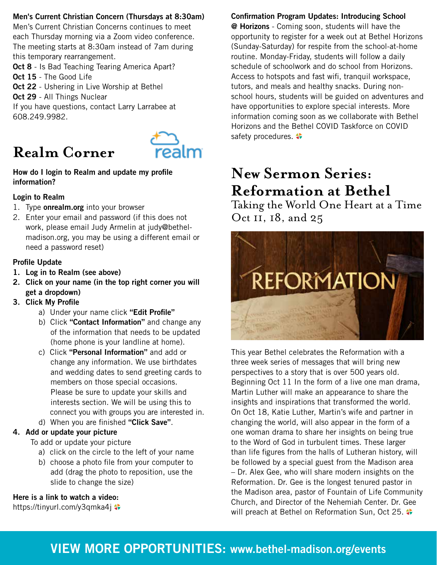### **Men's Current Christian Concern (Thursdays at 8:30am)**

Men's Current Christian Concerns continues to meet each Thursday morning via a Zoom video conference. The meeting starts at 8:30am instead of 7am during this temporary rearrangement.

**Oct 8** - Is Bad Teaching Tearing America Apart? **Oct 15** - The Good Life **Oct 22** - Ushering in Live Worship at Bethel

**Oct 29** - All Things Nuclear

If you have questions, contact Larry Larrabee at 608.249.9982.

# **Realm Corner**



**How do I login to Realm and update my profile information?**

### **Login to Realm**

- 1. Type **onrealm.org** into your browser
- 2. Enter your email and password (if this does not work, please email Judy Armelin at judy@bethelmadison.org, you may be using a different email or need a password reset)

### **Profile Update**

- **1. Log in to Realm (see above)**
- **2. Click on your name (in the top right corner you will get a dropdown)**
- **3. Click My Profile**
	- a) Under your name click **"Edit Profile"**
	- b) Click **"Contact Information"** and change any of the information that needs to be updated (home phone is your landline at home).
	- c) Click **"Personal Information"** and add or change any information. We use birthdates and wedding dates to send greeting cards to members on those special occasions. Please be sure to update your skills and interests section. We will be using this to connect you with groups you are interested in.
	- d) When you are finished **"Click Save"**.

### **4. Add or update your picture**

To add or update your picture

- a) click on the circle to the left of your name
- b) choose a photo file from your computer to add (drag the photo to reposition, use the slide to change the size)

**Here is a link to watch a video:** 

https://tinyurl.com/y3qmka4j

**Confirmation Program Updates: Introducing School @ Horizons** - Coming soon, students will have the opportunity to register for a week out at Bethel Horizons (Sunday-Saturday) for respite from the school-at-home routine. Monday-Friday, students will follow a daily schedule of schoolwork and do school from Horizons. Access to hotspots and fast wifi, tranquil workspace, tutors, and meals and healthy snacks. During nonschool hours, students will be guided on adventures and have opportunities to explore special interests. More information coming soon as we collaborate with Bethel Horizons and the Bethel COVID Taskforce on COVID safety procedures.

## **New Sermon Series: Reformation at Bethel**

Taking the World One Heart at a Time Oct 11, 18, and 25



This year Bethel celebrates the Reformation with a three week series of messages that will bring new perspectives to a story that is over 500 years old. Beginning Oct 11 In the form of a live one man drama, Martin Luther will make an appearance to share the insights and inspirations that transformed the world. On Oct 18, Katie Luther, Martin's wife and partner in changing the world, will also appear in the form of a one woman drama to share her insights on being true to the Word of God in turbulent times. These larger than life figures from the halls of Lutheran history, will be followed by a special guest from the Madison area – Dr. Alex Gee, who will share modern insights on the Reformation. Dr. Gee is the longest tenured pastor in the Madison area, pastor of Fountain of Life Community Church, and Director of the Nehemiah Center. Dr. Gee will preach at Bethel on Reformation Sun, Oct 25.

## **VIEW MORE OPPORTUNITIES: www.bethel-madison.org/events**